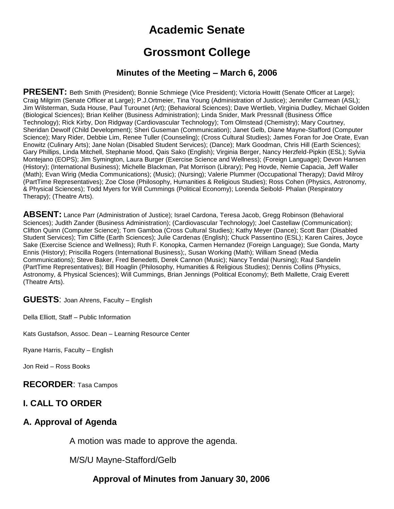# **Academic Senate**

## **Grossmont College**

#### **Minutes of the Meeting – March 6, 2006**

**PRESENT:** Beth Smith (President); Bonnie Schmiege (Vice President); Victoria Howitt (Senate Officer at Large); Craig Milgrim (Senate Officer at Large); P.J.Ortmeier, Tina Young (Administration of Justice); Jennifer Carmean (ASL); Jim Wilsterman, Suda House, Paul Turounet (Art); (Behavioral Sciences); Dave Wertlieb, Virginia Dudley, Michael Golden (Biological Sciences); Brian Keliher (Business Administration); Linda Snider, Mark Pressnall (Business Office Technology); Rick Kirby, Don Ridgway (Cardiovascular Technology); Tom Olmstead (Chemistry); Mary Courtney, Sheridan Dewolf (Child Development); Sheri Guseman (Communication); Janet Gelb, Diane Mayne-Stafford (Computer Science); Mary Rider, Debbie Lim, Renee Tuller (Counseling); (Cross Cultural Studies); James Foran for Joe Orate, Evan Enowitz (Culinary Arts); Jane Nolan (Disabled Student Services); (Dance); Mark Goodman, Chris Hill (Earth Sciences); Gary Phillips, Linda Mitchell, Stephanie Mood, Qais Sako (English); Virginia Berger, Nancy Herzfeld-Pipkin (ESL); Sylvia Montejano (EOPS); Jim Symington, Laura Burger (Exercise Science and Wellness); (Foreign Language); Devon Hansen (History); (International Business); Michelle Blackman, Pat Morrison (Library); Peg Hovde, Nemie Capacia, Jeff Waller (Math); Evan Wirig (Media Communications); (Music); (Nursing); Valerie Plummer (Occupational Therapy); David Milroy (PartTime Representatives); Zoe Close (Philosophy, Humanities & Religious Studies); Ross Cohen (Physics, Astronomy, & Physical Sciences); Todd Myers for Will Cummings (Political Economy); Lorenda Seibold- Phalan (Respiratory Therapy); (Theatre Arts).

ABSENT: Lance Parr (Administration of Justice); Israel Cardona, Teresa Jacob, Gregg Robinson (Behavioral Sciences); Judith Zander (Business Administration); (Cardiovascular Technology); Joel Castellaw (Communication); Clifton Quinn (Computer Science); Tom Gamboa (Cross Cultural Studies); Kathy Meyer (Dance); Scott Barr (Disabled Student Services); Tim Cliffe (Earth Sciences); Julie Cardenas (English); Chuck Passentino (ESL); Karen Caires, Joyce Sake (Exercise Science and Wellness); Ruth F. Konopka, Carmen Hernandez (Foreign Language); Sue Gonda, Marty Ennis (History); Priscilla Rogers (International Business);, Susan Working (Math); William Snead (Media Communications); Steve Baker, Fred Benedetti, Derek Cannon (Music); Nancy Tendal (Nursing); Raul Sandelin (PartTime Representatives); Bill Hoaglin (Philosophy, Humanities & Religious Studies); Dennis Collins (Physics, Astronomy, & Physical Sciences); Will Cummings, Brian Jennings (Political Economy); Beth Mallette, Craig Everett (Theatre Arts).

**GUESTS**: Joan Ahrens, Faculty – English

Della Elliott, Staff – Public Information

Kats Gustafson, Assoc. Dean – Learning Resource Center

Ryane Harris, Faculty – English

Jon Reid – Ross Books

**RECORDER**: Tasa Campos

#### **I. CALL TO ORDER**

#### **A. Approval of Agenda**

A motion was made to approve the agenda.

M/S/U Mayne-Stafford/Gelb

#### **Approval of Minutes from January 30, 2006**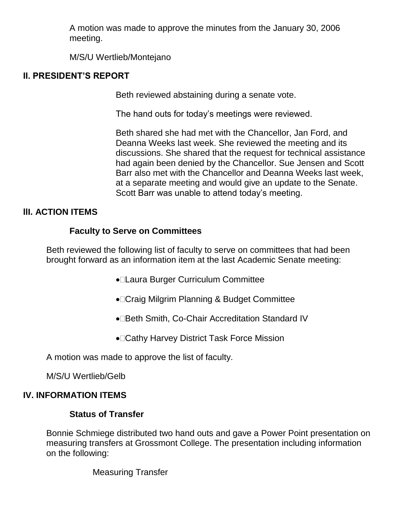A motion was made to approve the minutes from the January 30, 2006 meeting.

M/S/U Wertlieb/Montejano

#### **II. PRESIDENT'S REPORT**

Beth reviewed abstaining during a senate vote.

The hand outs for today's meetings were reviewed.

Beth shared she had met with the Chancellor, Jan Ford, and Deanna Weeks last week. She reviewed the meeting and its discussions. She shared that the request for technical assistance had again been denied by the Chancellor. Sue Jensen and Scott Barr also met with the Chancellor and Deanna Weeks last week, at a separate meeting and would give an update to the Senate. Scott Barr was unable to attend today's meeting.

## **llI. ACTION ITEMS**

## **Faculty to Serve on Committees**

Beth reviewed the following list of faculty to serve on committees that had been brought forward as an information item at the last Academic Senate meeting:

- Laura Burger Curriculum Committee
- Craig Milgrim Planning & Budget Committee
- •□Beth Smith, Co-Chair Accreditation Standard IV
- Cathy Harvey District Task Force Mission

A motion was made to approve the list of faculty.

M/S/U Wertlieb/Gelb

#### **IV. INFORMATION ITEMS**

#### **Status of Transfer**

Bonnie Schmiege distributed two hand outs and gave a Power Point presentation on measuring transfers at Grossmont College. The presentation including information on the following:

Measuring Transfer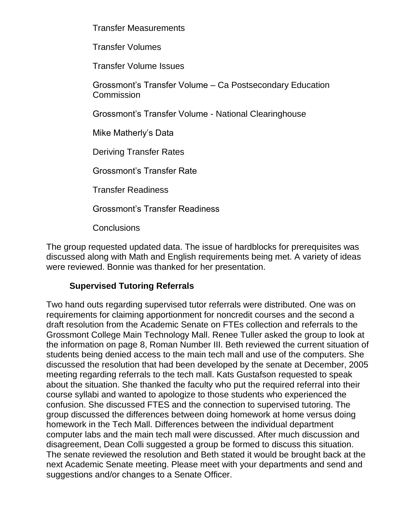Transfer Measurements

Transfer Volumes

Transfer Volume Issues

Grossmont's Transfer Volume – Ca Postsecondary Education **Commission** 

Grossmont's Transfer Volume - National Clearinghouse

Mike Matherly's Data

Deriving Transfer Rates

Grossmont's Transfer Rate

Transfer Readiness

Grossmont's Transfer Readiness

Conclusions

The group requested updated data. The issue of hardblocks for prerequisites was discussed along with Math and English requirements being met. A variety of ideas were reviewed. Bonnie was thanked for her presentation.

## **Supervised Tutoring Referrals**

Two hand outs regarding supervised tutor referrals were distributed. One was on requirements for claiming apportionment for noncredit courses and the second a draft resolution from the Academic Senate on FTEs collection and referrals to the Grossmont College Main Technology Mall. Renee Tuller asked the group to look at the information on page 8, Roman Number III. Beth reviewed the current situation of students being denied access to the main tech mall and use of the computers. She discussed the resolution that had been developed by the senate at December, 2005 meeting regarding referrals to the tech mall. Kats Gustafson requested to speak about the situation. She thanked the faculty who put the required referral into their course syllabi and wanted to apologize to those students who experienced the confusion. She discussed FTES and the connection to supervised tutoring. The group discussed the differences between doing homework at home versus doing homework in the Tech Mall. Differences between the individual department computer labs and the main tech mall were discussed. After much discussion and disagreement, Dean Colli suggested a group be formed to discuss this situation. The senate reviewed the resolution and Beth stated it would be brought back at the next Academic Senate meeting. Please meet with your departments and send and suggestions and/or changes to a Senate Officer.